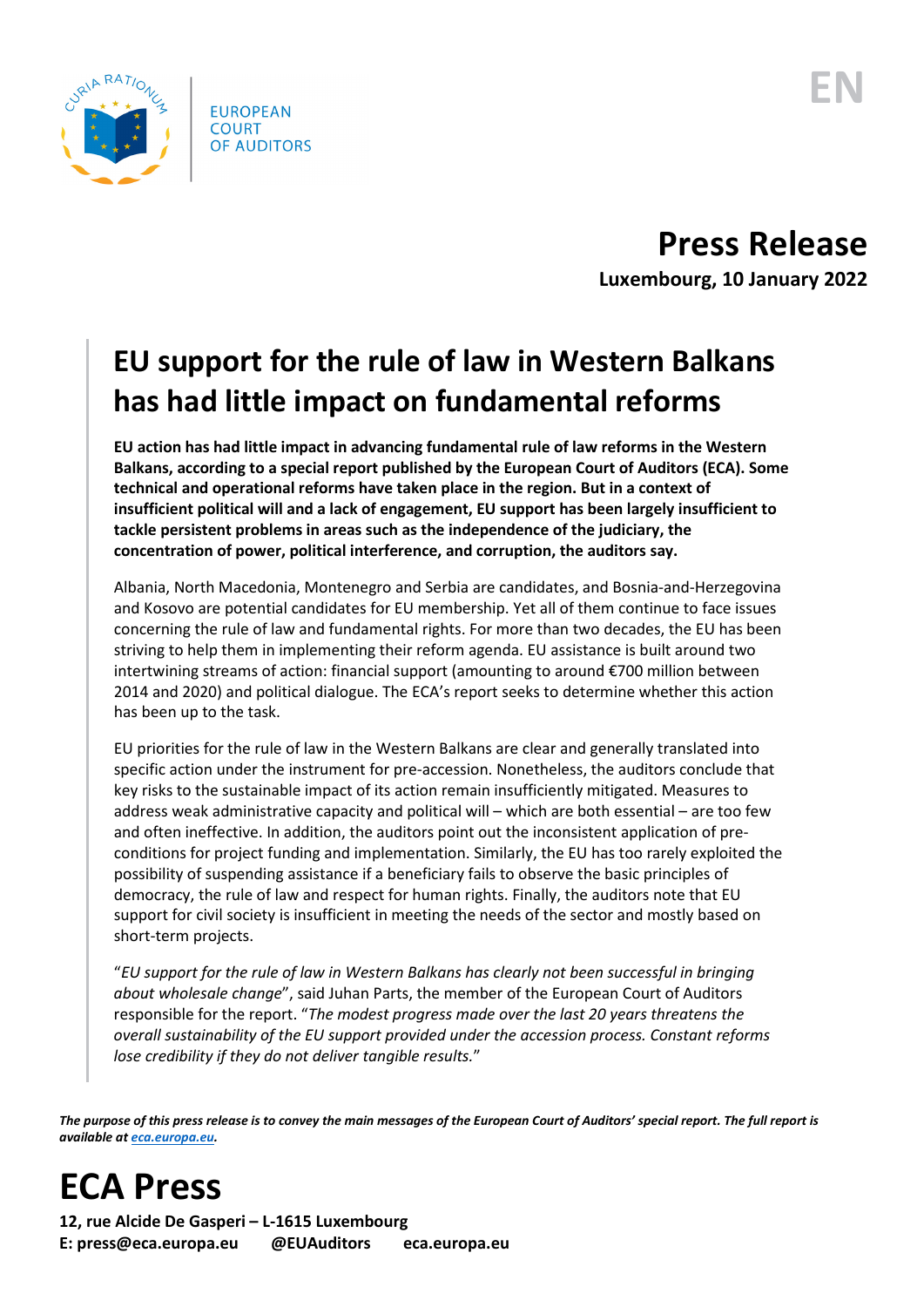

**Press Release Luxembourg, 10 January 2022**

## **EU support for the rule of law in Western Balkans has had little impact on fundamental reforms**

**EU action has had little impact in advancing fundamental rule of law reforms in the Western Balkans, according to a special report published by the European Court of Auditors (ECA). Some technical and operational reforms have taken place in the region. But in a context of insufficient political will and a lack of engagement, EU support has been largely insufficient to tackle persistent problems in areas such as the independence of the judiciary, the concentration of power, political interference, and corruption, the auditors say.**

Albania, North Macedonia, Montenegro and Serbia are candidates, and Bosnia-and-Herzegovina and Kosovo are potential candidates for EU membership. Yet all of them continue to face issues concerning the rule of law and fundamental rights. For more than two decades, the EU has been striving to help them in implementing their reform agenda. EU assistance is built around two intertwining streams of action: financial support (amounting to around €700 million between 2014 and 2020) and political dialogue. The ECA's report seeks to determine whether this action has been up to the task.

EU priorities for the rule of law in the Western Balkans are clear and generally translated into specific action under the instrument for pre-accession. Nonetheless, the auditors conclude that key risks to the sustainable impact of its action remain insufficiently mitigated. Measures to address weak administrative capacity and political will – which are both essential – are too few and often ineffective. In addition, the auditors point out the inconsistent application of preconditions for project funding and implementation. Similarly, the EU has too rarely exploited the possibility of suspending assistance if a beneficiary fails to observe the basic principles of democracy, the rule of law and respect for human rights. Finally, the auditors note that EU support for civil society is insufficient in meeting the needs of the sector and mostly based on short-term projects.

"*EU support for the rule of law in Western Balkans has clearly not been successful in bringing about wholesale change*", said Juhan Parts, the member of the European Court of Auditors responsible for the report. "*The modest progress made over the last 20 years threatens the overall sustainability of the EU support provided under the accession process. Constant reforms lose credibility if they do not deliver tangible results.*"

*The purpose of this press release is to convey the main messages of the European Court of Auditors' special report. The full report is available a[t eca.europa.eu.](https://www.eca.europa.eu/)*

## **ECA Press**

**12, rue Alcide De Gasperi – L-1615 Luxembourg E: press@eca.europa.eu @EUAuditors eca.europa.eu**